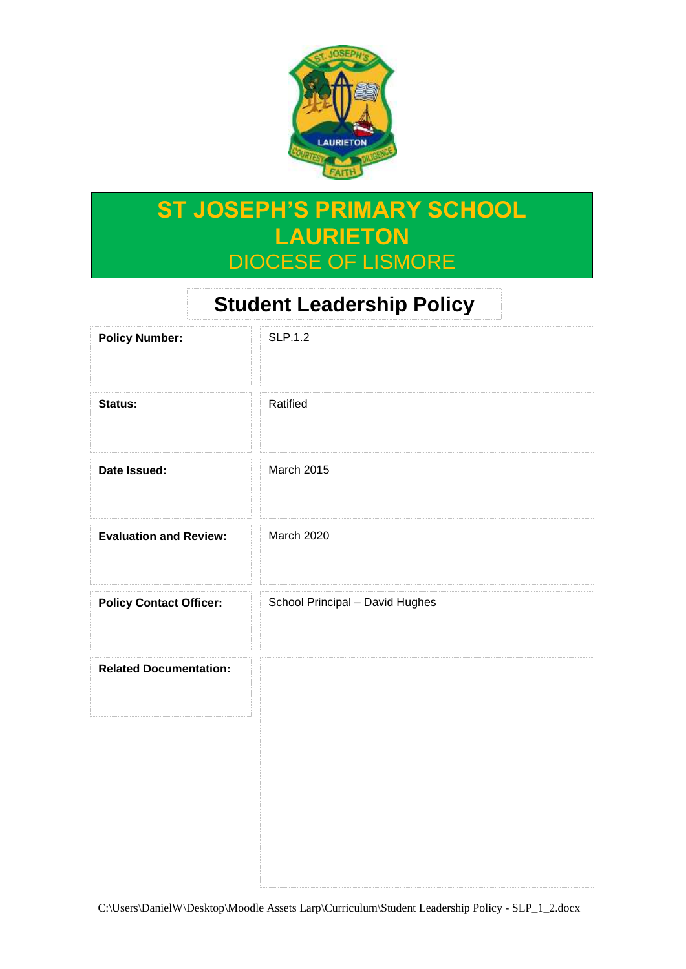

# **ST JOSEPH'S PRIMARY SCHOOL LAURIETON** DIOCESE OF LISMORE

# **Student Leadership Policy**

| <b>Policy Number:</b>          | <b>SLP.1.2</b>                  |
|--------------------------------|---------------------------------|
| Status:                        | Ratified                        |
| Date Issued:                   | March 2015                      |
| <b>Evaluation and Review:</b>  | March 2020                      |
| <b>Policy Contact Officer:</b> | School Principal - David Hughes |
| <b>Related Documentation:</b>  |                                 |
|                                |                                 |
|                                |                                 |
|                                |                                 |